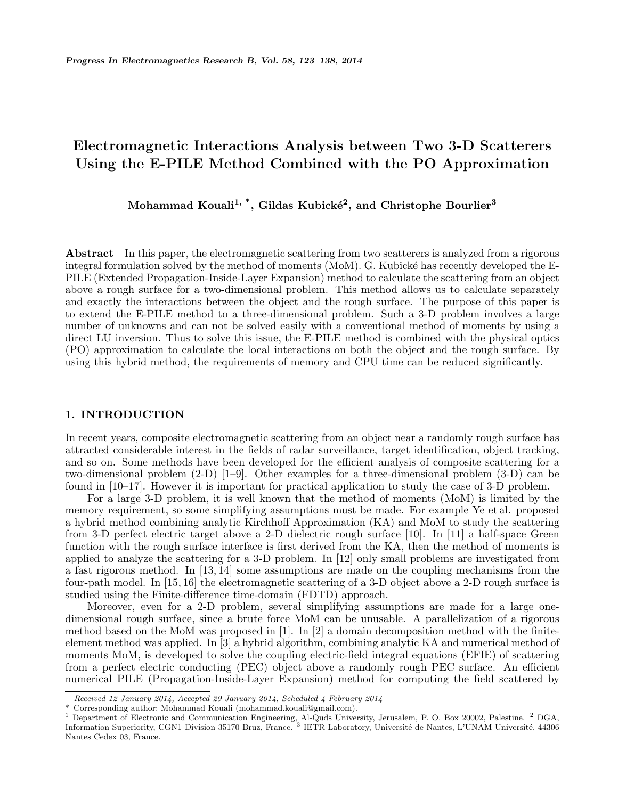# Electromagnetic Interactions Analysis between Two 3-D Scatterers Using the E-PILE Method Combined with the PO Approximation

Mohammad Kouali $^{1,\, *}$ , Gildas Kubické $^{2},$  and Christophe Bourlier $^{3}$ 

Abstract—In this paper, the electromagnetic scattering from two scatterers is analyzed from a rigorous integral formulation solved by the method of moments (MoM). G. Kubické has recently developed the E-PILE (Extended Propagation-Inside-Layer Expansion) method to calculate the scattering from an object above a rough surface for a two-dimensional problem. This method allows us to calculate separately and exactly the interactions between the object and the rough surface. The purpose of this paper is to extend the E-PILE method to a three-dimensional problem. Such a 3-D problem involves a large number of unknowns and can not be solved easily with a conventional method of moments by using a direct LU inversion. Thus to solve this issue, the E-PILE method is combined with the physical optics (PO) approximation to calculate the local interactions on both the object and the rough surface. By using this hybrid method, the requirements of memory and CPU time can be reduced significantly.

# 1. INTRODUCTION

In recent years, composite electromagnetic scattering from an object near a randomly rough surface has attracted considerable interest in the fields of radar surveillance, target identification, object tracking, and so on. Some methods have been developed for the efficient analysis of composite scattering for a two-dimensional problem (2-D) [1–9]. Other examples for a three-dimensional problem (3-D) can be found in [10–17]. However it is important for practical application to study the case of 3-D problem.

For a large 3-D problem, it is well known that the method of moments (MoM) is limited by the memory requirement, so some simplifying assumptions must be made. For example Ye et al. proposed a hybrid method combining analytic Kirchhoff Approximation (KA) and MoM to study the scattering from 3-D perfect electric target above a 2-D dielectric rough surface [10]. In [11] a half-space Green function with the rough surface interface is first derived from the KA, then the method of moments is applied to analyze the scattering for a 3-D problem. In [12] only small problems are investigated from a fast rigorous method. In [13, 14] some assumptions are made on the coupling mechanisms from the four-path model. In [15, 16] the electromagnetic scattering of a 3-D object above a 2-D rough surface is studied using the Finite-difference time-domain (FDTD) approach.

Moreover, even for a 2-D problem, several simplifying assumptions are made for a large onedimensional rough surface, since a brute force MoM can be unusable. A parallelization of a rigorous method based on the MoM was proposed in [1]. In [2] a domain decomposition method with the finiteelement method was applied. In [3] a hybrid algorithm, combining analytic KA and numerical method of moments MoM, is developed to solve the coupling electric-field integral equations (EFIE) of scattering from a perfect electric conducting (PEC) object above a randomly rough PEC surface. An efficient numerical PILE (Propagation-Inside-Layer Expansion) method for computing the field scattered by

Received 12 January 2014, Accepted 29 January 2014, Scheduled 4 February 2014

<sup>\*</sup> Corresponding author: Mohammad Kouali (mohammad.kouali@gmail.com).

<sup>1</sup> Department of Electronic and Communication Engineering, Al-Quds University, Jerusalem, P. O. Box 20002, Palestine. <sup>2</sup> DGA, Information Superiority, CGN1 Division 35170 Bruz, France. <sup>3</sup> IETR Laboratory, Université de Nantes, L'UNAM Université, 44306 Nantes Cedex 03, France.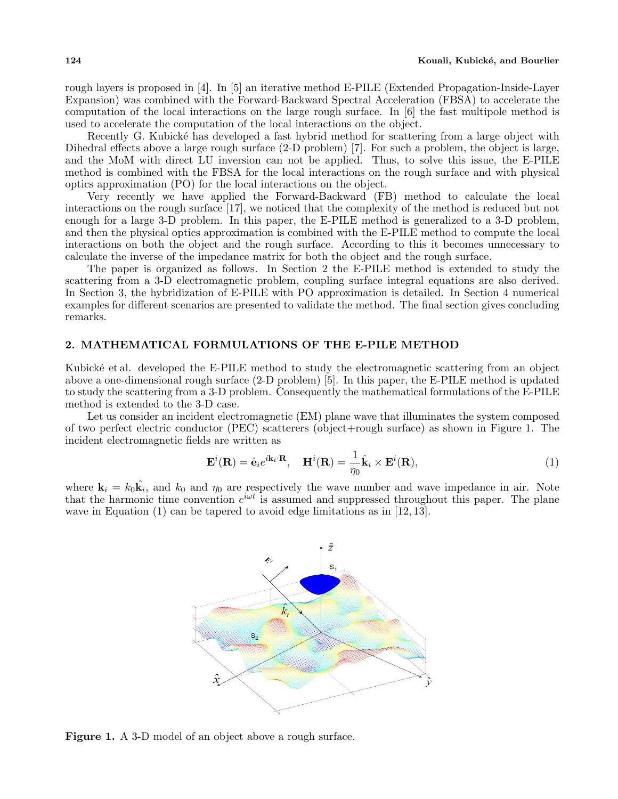rough layers is proposed in [4]. In [5] an iterative method E-PILE (Extended Propagation-Inside-Layer Expansion) was combined with the Forward-Backward Spectral Acceleration (FBSA) to accelerate the computation of the local interactions on the large rough surface. In [6] the fast multipole method is used to accelerate the computation of the local interactions on the object.

Recently G. Kubické has developed a fast hybrid method for scattering from a large object with Dihedral effects above a large rough surface (2-D problem) [7]. For such a problem, the object is large, and the MoM with direct LU inversion can not be applied. Thus, to solve this issue, the E-PILE method is combined with the FBSA for the local interactions on the rough surface and with physical optics approximation (PO) for the local interactions on the object.

Very recently we have applied the Forward-Backward (FB) method to calculate the local interactions on the rough surface [17], we noticed that the complexity of the method is reduced but not enough for a large 3-D problem. In this paper, the E-PILE method is generalized to a 3-D problem, and then the physical optics approximation is combined with the E-PILE method to compute the local interactions on both the object and the rough surface. According to this it becomes unnecessary to calculate the inverse of the impedance matrix for both the object and the rough surface.

The paper is organized as follows. In Section 2 the E-PILE method is extended to study the scattering from a 3-D electromagnetic problem, coupling surface integral equations are also derived. In Section 3, the hybridization of E-PILE with PO approximation is detailed. In Section 4 numerical examples for different scenarios are presented to validate the method. The final section gives concluding remarks.

# 2. MATHEMATICAL FORMULATIONS OF THE E-PILE METHOD

Kubické et al. developed the E-PILE method to study the electromagnetic scattering from an object above a one-dimensional rough surface (2-D problem) [5]. In this paper, the E-PILE method is updated to study the scattering from a 3-D problem. Consequently the mathematical formulations of the E-PILE method is extended to the 3-D case.

Let us consider an incident electromagnetic (EM) plane wave that illuminates the system composed of two perfect electric conductor (PEC) scatterers (object+rough surface) as shown in Figure 1. The incident electromagnetic fields are written as

$$
\mathbf{E}^{i}(\mathbf{R}) = \hat{\mathbf{e}}_{i}e^{i\mathbf{k}_{i}\cdot\mathbf{R}}, \quad \mathbf{H}^{i}(\mathbf{R}) = \frac{1}{\eta_{0}}\hat{\mathbf{k}}_{i} \times \mathbf{E}^{i}(\mathbf{R}), \tag{1}
$$

where  $\mathbf{k}_i = k_0 \hat{\mathbf{k}}_i$ , and  $k_0$  and  $\eta_0$  are respectively the wave number and wave impedance in air. Note that the harmonic time convention  $e^{i\omega t}$  is assumed and suppressed throughout this paper. The plane wave in Equation  $(1)$  can be tapered to avoid edge limitations as in [12, 13].



Figure 1. A 3-D model of an object above a rough surface.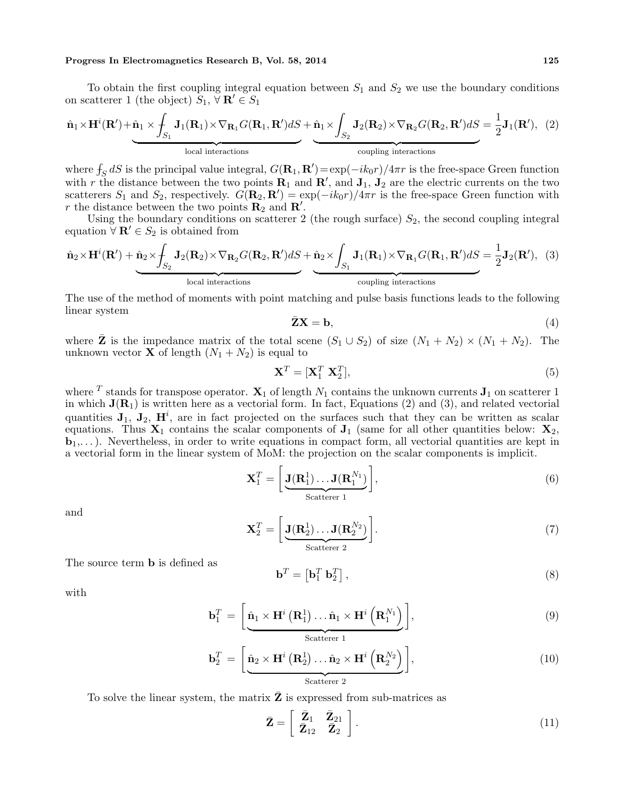#### Progress In Electromagnetics Research B, Vol. 58, 2014 125

To obtain the first coupling integral equation between  $S_1$  and  $S_2$  we use the boundary conditions on scatterer 1 (the object)  $S_1$ ,  $\forall \mathbf{R}' \in S_1$ 

$$
\hat{\mathbf{n}}_1 \times \mathbf{H}^i(\mathbf{R}') + \hat{\mathbf{n}}_1 \times \underbrace{\int_{S_1} \mathbf{J}_1(\mathbf{R}_1) \times \nabla_{\mathbf{R}_1} G(\mathbf{R}_1, \mathbf{R}') dS}_{\text{local interactions}} + \hat{\mathbf{n}}_1 \times \underbrace{\int_{S_2} \mathbf{J}_2(\mathbf{R}_2) \times \nabla_{\mathbf{R}_2} G(\mathbf{R}_2, \mathbf{R}') dS}_{\text{coupling interactions}} = \frac{1}{2} \mathbf{J}_1(\mathbf{R}'), (2)
$$

where  $\ddot{}$  $\sum_{S} dS$  is the principal value integral,  $G(\mathbf{R}_1, \mathbf{R}') = \exp(-ik_0r)/4\pi r$  is the free-space Green function with r the distance between the two points  $\mathbf{R}_1$  and  $\mathbf{R}'$ , and  $\mathbf{J}_1$ ,  $\mathbf{J}_2$  are the electric currents on the two scatterers  $S_1$  and  $S_2$ , respectively.  $G(\mathbf{R}_2, \mathbf{R}') = \exp(-ik_0r)/4\pi r$  is the free-space Green function with r the distance between the two points  $\overline{\mathbf{R}_2}$  and  $\overline{\mathbf{R}}$ .

Using the boundary conditions on scatterer 2 (the rough surface)  $S_2$ , the second coupling integral equation  $\forall \mathbf{R}' \in S_2$  is obtained from

$$
\hat{\mathbf{n}}_2 \times \mathbf{H}^i(\mathbf{R}') + \hat{\mathbf{n}}_2 \times \underbrace{\int_{S_2} \mathbf{J}_2(\mathbf{R}_2) \times \nabla_{\mathbf{R}_2} G(\mathbf{R}_2, \mathbf{R}') dS}_{\text{local interactions}} + \underbrace{\hat{\mathbf{n}}_2 \times \int_{S_1} \mathbf{J}_1(\mathbf{R}_1) \times \nabla_{\mathbf{R}_1} G(\mathbf{R}_1, \mathbf{R}') dS}_{\text{coupling interactions}} = \frac{1}{2} \mathbf{J}_2(\mathbf{R}'), \tag{3}
$$

The use of the method of moments with point matching and pulse basis functions leads to the following linear system

$$
\bar{Z}X = \mathbf{b},\tag{4}
$$

where **Z** is the impedance matrix of the total scene  $(S_1 \cup S_2)$  of size  $(N_1 + N_2) \times (N_1 + N_2)$ . The unknown vector **X** of length  $(N_1 + N_2)$  is equal to

$$
\mathbf{X}^T = [\mathbf{X}_1^T \ \mathbf{X}_2^T],\tag{5}
$$

where <sup>T</sup> stands for transpose operator.  $\mathbf{X}_1$  of length  $N_1$  contains the unknown currents  $\mathbf{J}_1$  on scatterer 1 in which  $J(R_1)$  is written here as a vectorial form. In fact, Equations (2) and (3), and related vectorial quantities  $J_1, J_2, H^i$ , are in fact projected on the surfaces such that they can be written as scalar equations. Thus  $X_1$  contains the scalar components of  $J_1$  (same for all other quantities below:  $X_2$ , **). Nevertheless, in order to write equations in compact form, all vectorial quantities are kept in** a vectorial form in the linear system of MoM: the projection on the scalar components is implicit. ·  $\overline{a}$ 

$$
\mathbf{X}_1^T = \left[ \underbrace{\mathbf{J}(\mathbf{R}_1^1) \dots \mathbf{J}(\mathbf{R}_1^{N_1})}_{\text{Scatterer 1}} \right],\tag{6}
$$

and

$$
\mathbf{X}_2^T = \left[ \underbrace{\mathbf{J}(\mathbf{R}_2^1) \dots \mathbf{J}(\mathbf{R}_2^{N_2})}_{\text{Scatterer } 2} \right].
$$
 (7)

The source term **b** is defined as

$$
\mathbf{b}^T = \left[\mathbf{b}_1^T \ \mathbf{b}_2^T\right],\tag{8}
$$

with

$$
\mathbf{b}_1^T = \left[ \hat{\mathbf{n}}_1 \times \mathbf{H}^i \left( \mathbf{R}_1^1 \right) \dots \hat{\mathbf{n}}_1 \times \mathbf{H}^i \left( \mathbf{R}_1^{N_1} \right) \right],
$$
\n(9)

$$
\mathbf{b}_2^T = \left[ \hat{\mathbf{n}}_2 \times \mathbf{H}^i \left( \mathbf{R}_2^1 \right) \dots \hat{\mathbf{n}}_2 \times \mathbf{H}^i \left( \mathbf{R}_2^{N_2} \right) \right],\tag{10}
$$
  
Scatterer 2

To solve the linear system, the matrix  $\bar{Z}$  is expressed from sub-matrices as

$$
\bar{\mathbf{Z}} = \left[ \begin{array}{cc} \bar{\mathbf{Z}}_1 & \bar{\mathbf{Z}}_{21} \\ \bar{\mathbf{Z}}_{12} & \bar{\mathbf{Z}}_2 \end{array} \right]. \tag{11}
$$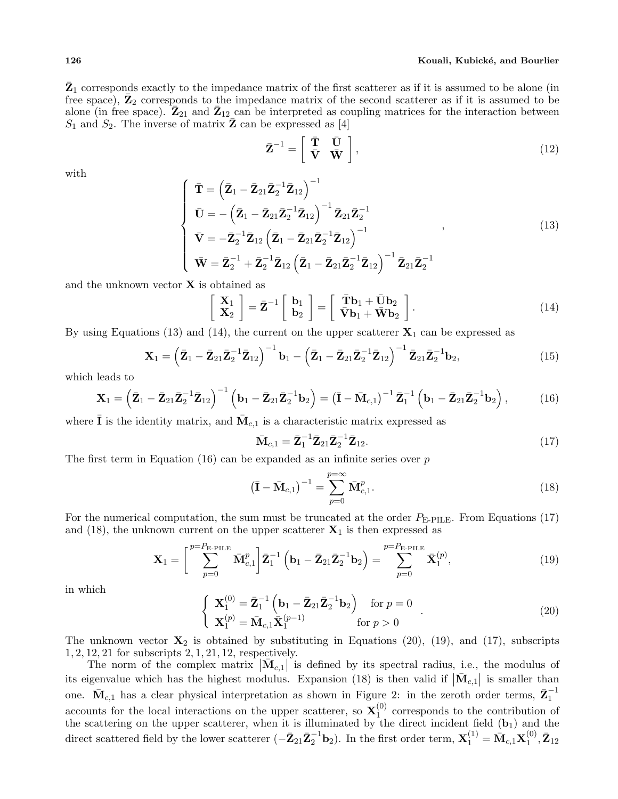$\bar{Z}_1$  corresponds exactly to the impedance matrix of the first scatterer as if it is assumed to be alone (in free space),  $\bar{Z}_2$  corresponds to the impedance matrix of the second scatterer as if it is assumed to be alone (in free space).  $\mathbf{Z}_{21}$  and  $\mathbf{Z}_{12}$  can be interpreted as coupling matrices for the interaction between  $S_1$  and  $S_2$ . The inverse of matrix  $\overline{Z}$  can be expressed as [4]

$$
\bar{\mathbf{Z}}^{-1} = \begin{bmatrix} \bar{\mathbf{T}} & \bar{\mathbf{U}} \\ \bar{\mathbf{V}} & \bar{\mathbf{W}} \end{bmatrix},\tag{12}
$$

with

$$
\begin{cases}\n\bar{\mathbf{T}} = (\bar{\mathbf{Z}}_1 - \bar{\mathbf{Z}}_{21}\bar{\mathbf{Z}}_2^{-1}\bar{\mathbf{Z}}_{12})^{-1} \\
\bar{\mathbf{U}} = -(\bar{\mathbf{Z}}_1 - \bar{\mathbf{Z}}_{21}\bar{\mathbf{Z}}_2^{-1}\bar{\mathbf{Z}}_{12})^{-1}\bar{\mathbf{Z}}_{21}\bar{\mathbf{Z}}_2^{-1} \\
\bar{\mathbf{V}} = -\bar{\mathbf{Z}}_2^{-1}\bar{\mathbf{Z}}_{12}(\bar{\mathbf{Z}}_1 - \bar{\mathbf{Z}}_{21}\bar{\mathbf{Z}}_2^{-1}\bar{\mathbf{Z}}_{12})^{-1} \\
\bar{\mathbf{W}} = \bar{\mathbf{Z}}_2^{-1} + \bar{\mathbf{Z}}_2^{-1}\bar{\mathbf{Z}}_{12}(\bar{\mathbf{Z}}_1 - \bar{\mathbf{Z}}_{21}\bar{\mathbf{Z}}_2^{-1}\bar{\mathbf{Z}}_{12})^{-1}\bar{\mathbf{Z}}_{21}\bar{\mathbf{Z}}_2^{-1}\n\end{cases}
$$
\n(13)

and the unknown vector  $\bf{X}$  is obtained as

$$
\begin{bmatrix} \mathbf{X}_1 \\ \mathbf{X}_2 \end{bmatrix} = \mathbf{\bar{Z}}^{-1} \begin{bmatrix} \mathbf{b}_1 \\ \mathbf{b}_2 \end{bmatrix} = \begin{bmatrix} \mathbf{\bar{T}}\mathbf{b}_1 + \mathbf{\bar{U}}\mathbf{b}_2 \\ \mathbf{\bar{V}}\mathbf{b}_1 + \mathbf{\bar{W}}\mathbf{b}_2 \end{bmatrix}.
$$
 (14)

By using Equations (13) and (14), the current on the upper scatterer  $X_1$  can be expressed as

$$
\mathbf{X}_1 = \left(\bar{\mathbf{Z}}_1 - \bar{\mathbf{Z}}_{21}\bar{\mathbf{Z}}_2^{-1}\bar{\mathbf{Z}}_{12}\right)^{-1}\mathbf{b}_1 - \left(\bar{\mathbf{Z}}_1 - \bar{\mathbf{Z}}_{21}\bar{\mathbf{Z}}_2^{-1}\bar{\mathbf{Z}}_{12}\right)^{-1}\bar{\mathbf{Z}}_{21}\bar{\mathbf{Z}}_2^{-1}\mathbf{b}_2, \tag{15}
$$

which leads to

$$
\mathbf{X}_{1} = (\bar{\mathbf{Z}}_{1} - \bar{\mathbf{Z}}_{21}\bar{\mathbf{Z}}_{2}^{-1}\bar{\mathbf{Z}}_{12})^{-1} (\mathbf{b}_{1} - \bar{\mathbf{Z}}_{21}\bar{\mathbf{Z}}_{2}^{-1}\mathbf{b}_{2}) = (\bar{\mathbf{I}} - \bar{\mathbf{M}}_{c,1})^{-1} \bar{\mathbf{Z}}_{1}^{-1} (\mathbf{b}_{1} - \bar{\mathbf{Z}}_{21}\bar{\mathbf{Z}}_{2}^{-1}\mathbf{b}_{2}),
$$
(16)

where  $\bar{\mathbf{I}}$  is the identity matrix, and  $\bar{\mathbf{M}}_{c,1}$  is a characteristic matrix expressed as

$$
\bar{\mathbf{M}}_{c,1} = \bar{\mathbf{Z}}_1^{-1} \bar{\mathbf{Z}}_{21} \bar{\mathbf{Z}}_2^{-1} \bar{\mathbf{Z}}_{12}.
$$
 (17)

The first term in Equation (16) can be expanded as an infinite series over  $p$ 

$$
\left(\bar{\mathbf{I}} - \bar{\mathbf{M}}_{c,1}\right)^{-1} = \sum_{p=0}^{p=\infty} \bar{\mathbf{M}}_{c,1}^p.
$$
\n(18)

For the numerical computation, the sum must be truncated at the order  $P_{\text{E-PILE}}$ . From Equations (17) and (18), the unknown current on the upper scatterer  $X_1$  is then expressed as

$$
\mathbf{X}_{1} = \left[ \sum_{p=0}^{p=P_{\text{E-PILE}}} \bar{\mathbf{M}}_{c,1}^{p} \right] \bar{\mathbf{Z}}_{1}^{-1} \left( \mathbf{b}_{1} - \bar{\mathbf{Z}}_{21} \bar{\mathbf{Z}}_{2}^{-1} \mathbf{b}_{2} \right) = \sum_{p=0}^{p=P_{\text{E-PILE}}} \bar{\mathbf{X}}_{1}^{(p)}, \qquad (19)
$$

in which

$$
\begin{cases} \mathbf{X}_{1}^{(0)} = \bar{\mathbf{Z}}_{1}^{-1} \left( \mathbf{b}_{1} - \bar{\mathbf{Z}}_{21} \bar{\mathbf{Z}}_{2}^{-1} \mathbf{b}_{2} \right) & \text{for } p = 0 \\ \mathbf{X}_{1}^{(p)} = \bar{\mathbf{M}}_{c,1} \bar{\mathbf{X}}_{1}^{(p-1)} & \text{for } p > 0 \end{cases}
$$
(20)

The unknown vector  $\mathbf{X}_2$  is obtained by substituting in Equations (20), (19), and (17), subscripts  $1, 2, 12, 21$  for subscripts  $2, 1, 21, 12$ , respectively.

The norm of the complex matrix  $|\bar{M}_{c,1}|$  is defined by its spectral radius, i.e., the modulus of its eigenvalue which has the highest modulus. Expansion (18) is then valid if  $|\bar{M}_{c,1}|$  is smaller than one.  $\bar{M}_{c,1}$  has a clear physical interpretation as shown in Figure 2: in the zeroth order terms,  $\bar{Z}_1^{-1}$ accounts for the local interactions on the upper scatterer, so  $\mathbf{X}_1^{(0)}$  $_1^{(0)}$  corresponds to the contribution of the scattering on the upper scatterer, when it is illuminated by the direct incident field  $(b_1)$  and the direct scattered field by the lower scatterer  $(-\bar{\mathbf{Z}}_{21}\bar{\mathbf{Z}}_2^{-1}\mathbf{b}_2)$ . In the first order term,  $\mathbf{X}_1^{(1)} = \bar{\mathbf{M}}_{c,1} \mathbf{X}_1^{(0)}$  $_1^{(0)}, \bar{\textbf{Z}}_{12}$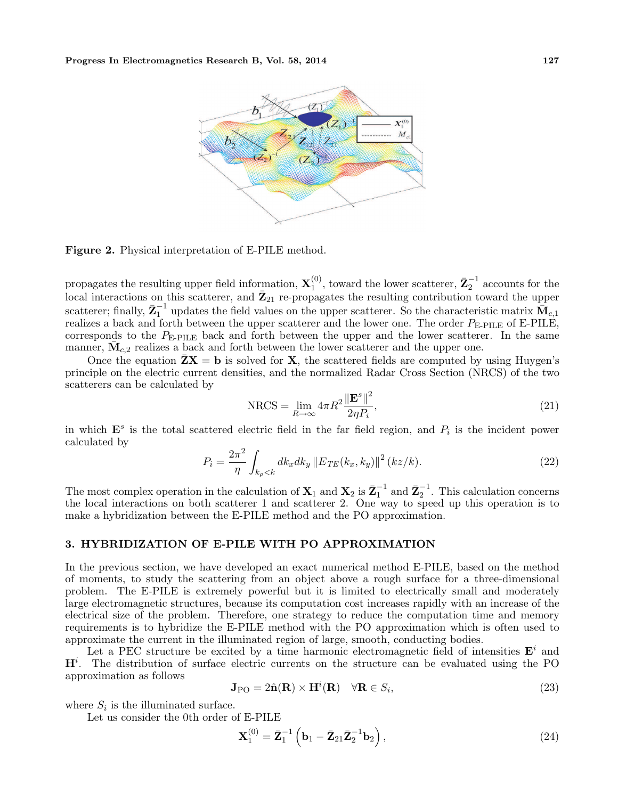

Figure 2. Physical interpretation of E-PILE method.

propagates the resulting upper field information,  $\mathbf{X}_1^{(0)}$  $_1^{(0)}$ , toward the lower scatterer,  $\bar{\mathbf{Z}}_2^{-1}$  accounts for the local interactions on this scatterer, and  $\bar{Z}_{21}$  re-propagates the resulting contribution toward the upper scatterer; finally,  $\bar{\mathbf{Z}}_1^{-1}$  updates the field values on the upper scatterer. So the characteristic matrix  $\bar{\mathbf{M}}_{c,1}$ realizes a back and forth between the upper scatterer and the lower one. The order PE-PILE of E-PILE, corresponds to the  $P_{\text{E-PILE}}$  back and forth between the upper and the lower scatterer. In the same manner,  $\overline{M}_{c,2}$  realizes a back and forth between the lower scatterer and the upper one.

Once the equation  $\bar{Z}X = b$  is solved for X, the scattered fields are computed by using Huygen's principle on the electric current densities, and the normalized Radar Cross Section (NRCS) of the two scatterers can be calculated by

$$
NRCS = \lim_{R \to \infty} 4\pi R^2 \frac{\|\mathbf{E}^s\|^2}{2\eta P_i},\tag{21}
$$

in which  $\mathbf{E}^s$  is the total scattered electric field in the far field region, and  $P_i$  is the incident power calculated by

$$
P_i = \frac{2\pi^2}{\eta} \int_{k_\rho < k} dk_x dk_y \, \| E_{TE}(k_x, k_y) \|^2 \, (kz/k). \tag{22}
$$

The most complex operation in the calculation of  $X_1$  and  $X_2$  is  $\bar{Z}_1^{-1}$  and  $\bar{Z}_2^{-1}$ . This calculation concerns the local interactions on both scatterer 1 and scatterer 2. One way to speed up this operation is to make a hybridization between the E-PILE method and the PO approximation.

#### 3. HYBRIDIZATION OF E-PILE WITH PO APPROXIMATION

In the previous section, we have developed an exact numerical method E-PILE, based on the method of moments, to study the scattering from an object above a rough surface for a three-dimensional problem. The E-PILE is extremely powerful but it is limited to electrically small and moderately large electromagnetic structures, because its computation cost increases rapidly with an increase of the electrical size of the problem. Therefore, one strategy to reduce the computation time and memory requirements is to hybridize the E-PILE method with the PO approximation which is often used to approximate the current in the illuminated region of large, smooth, conducting bodies.

Let a PEC structure be excited by a time harmonic electromagnetic field of intensities  $\mathbf{E}^i$  and  $H<sup>i</sup>$ . The distribution of surface electric currents on the structure can be evaluated using the PO approximation as follows

$$
\mathbf{J}_{\text{PO}} = 2\hat{\mathbf{n}}(\mathbf{R}) \times \mathbf{H}^i(\mathbf{R}) \quad \forall \mathbf{R} \in S_i,
$$
\n(23)

where  $S_i$  is the illuminated surface.

Let us consider the 0th order of E-PILE

$$
\mathbf{X}_{1}^{(0)} = \bar{\mathbf{Z}}_{1}^{-1} \left( \mathbf{b}_{1} - \bar{\mathbf{Z}}_{21} \bar{\mathbf{Z}}_{2}^{-1} \mathbf{b}_{2} \right), \tag{24}
$$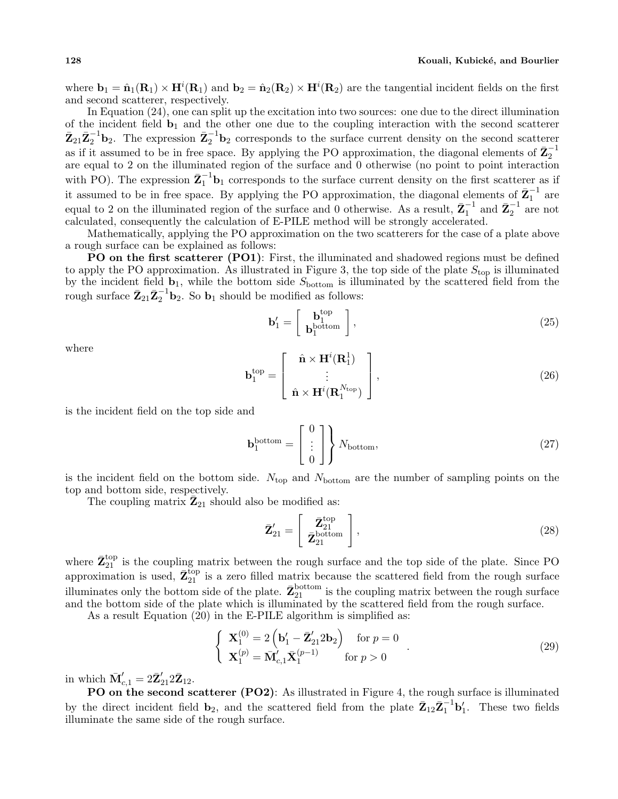where  $\mathbf{b}_1 = \hat{\mathbf{n}}_1(\mathbf{R}_1) \times \mathbf{H}^i(\mathbf{R}_1)$  and  $\mathbf{b}_2 = \hat{\mathbf{n}}_2(\mathbf{R}_2) \times \mathbf{H}^i(\mathbf{R}_2)$  are the tangential incident fields on the first and second scatterer, respectively.

In Equation (24), one can split up the excitation into two sources: one due to the direct illumination of the incident field  $b_1$  and the other one due to the coupling interaction with the second scatterer  $\bar{Z}_{21}\bar{Z}_2^{-1}$ **b**<sub>2</sub>. The expression  $\bar{Z}_2^{-1}$ **b**<sub>2</sub> corresponds to the surface current density on the second scatterer as if it assumed to be in free space. By applying the PO approximation, the diagonal elements of  $\bar{\mathbf{Z}}_2^{-1}$ are equal to 2 on the illuminated region of the surface and 0 otherwise (no point to point interaction with PO). The expression  $\bar{Z}_1^{-1}$  b<sub>1</sub> corresponds to the surface current density on the first scatterer as if it assumed to be in free space. By applying the PO approximation, the diagonal elements of  $\bar{Z}_1^{-1}$  are equal to 2 on the illuminated region of the surface and 0 otherwise. As a result,  $\bar{Z}_1^{-1}$  and  $\bar{Z}_2^{-1}$  are not calculated, consequently the calculation of E-PILE method will be strongly accelerated.

Mathematically, applying the PO approximation on the two scatterers for the case of a plate above a rough surface can be explained as follows:

PO on the first scatterer (PO1): First, the illuminated and shadowed regions must be defined to apply the PO approximation. As illustrated in Figure 3, the top side of the plate  $S_{top}$  is illuminated by the incident field  $\mathbf{b}_1$ , while the bottom side  $S_{\text{bottom}}$  is illuminated by the scattered field from the rough surface  $\bar{Z}_{21}\bar{Z}_2^{-1}b_2$ . So  $b_1$  should be modified as follows:

$$
\mathbf{b}'_1 = \left[ \begin{array}{c} \mathbf{b}_1^{\text{top}} \\ \mathbf{b}_1^{\text{bottom}} \end{array} \right],\tag{25}
$$

where

$$
\mathbf{b}_{1}^{\text{top}} = \begin{bmatrix} \hat{\mathbf{n}} \times \mathbf{H}^{i}(\mathbf{R}_{1}^{1}) \\ \vdots \\ \hat{\mathbf{n}} \times \mathbf{H}^{i}(\mathbf{R}_{1}^{N_{\text{top}}}) \end{bmatrix},
$$
\n(26)

is the incident field on the top side and

$$
\mathbf{b}_1^{\text{bottom}} = \begin{bmatrix} 0 \\ \vdots \\ 0 \end{bmatrix} N_{\text{bottom}}, \tag{27}
$$

is the incident field on the bottom side.  $N_{\text{top}}$  and  $N_{\text{bottom}}$  are the number of sampling points on the top and bottom side, respectively.

The coupling matrix  $\bar{Z}_{21}$  should also be modified as:

$$
\bar{\mathbf{Z}}'_{21} = \begin{bmatrix} \bar{\mathbf{Z}}_{21}^{\text{top}} \\ \bar{\mathbf{Z}}_{21}^{\text{bottom}} \end{bmatrix},\tag{28}
$$

where  $\bar{\mathbf{Z}}_{21}^{\text{top}}$  is the coupling matrix between the rough surface and the top side of the plate. Since PO approximation is used,  $\bar{\mathbf{Z}}_{21}^{\text{top}}$  is a zero filled matrix because the scattered field from the rough surface illuminates only the bottom side of the plate.  $\bar{\mathbf{Z}}_{21}^{\text{bottom}}$  is the coupling matrix between the rough surface and the bottom side of the plate which is illuminated by the scattered field from the rough surface.

As a result Equation (20) in the E-PILE algorithm is simplified as:

$$
\begin{cases}\n\mathbf{X}_1^{(0)} = 2\left(\mathbf{b}_1' - \bar{\mathbf{Z}}_{21}' 2\mathbf{b}_2\right) & \text{for } p = 0 \\
\mathbf{X}_1^{(p)} = \bar{\mathbf{M}}_{c,1}' \bar{\mathbf{X}}_1^{(p-1)} & \text{for } p > 0\n\end{cases}
$$
\n(29)

in which  $\bar{M}_{c,1}' = 2\bar{Z}_{21}'2\bar{Z}_{12}.$ 

PO on the second scatterer (PO2): As illustrated in Figure 4, the rough surface is illuminated by the direct incident field  $\mathbf{b}_2$ , and the scattered field from the plate  $\bar{\mathbf{Z}}_{12}\bar{\mathbf{Z}}_1^{-1}\mathbf{b}_1'$ . These two fields illuminate the same side of the rough surface.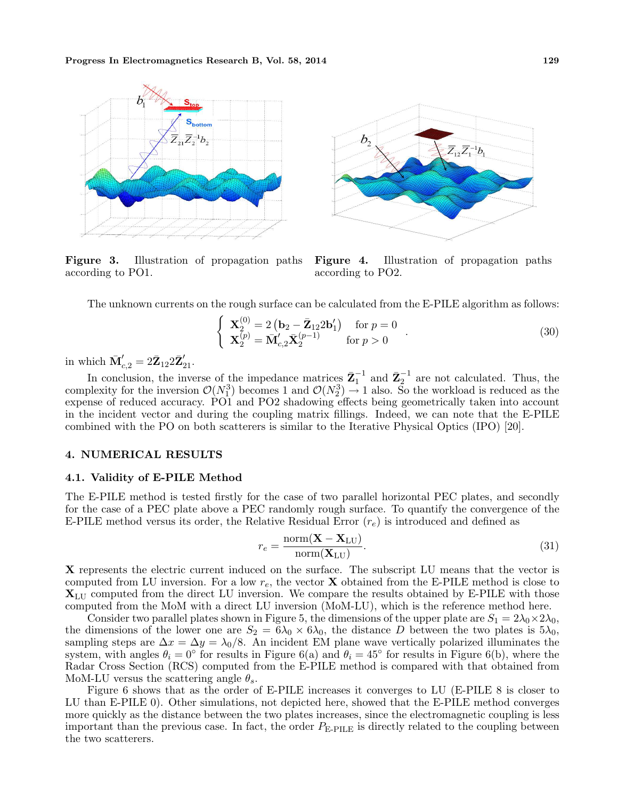

Figure 3. Illustration of propagation paths according to PO1.



Figure 4. Illustration of propagation paths according to PO2.

The unknown currents on the rough surface can be calculated from the E-PILE algorithm as follows:  $\overline{\phantom{a}}$ 

$$
\begin{cases}\n\mathbf{X}_{2}^{(0)} = 2\left(\mathbf{b}_{2} - \bar{\mathbf{Z}}_{12} 2\mathbf{b}_{1}'\right) & \text{for } p = 0 \\
\mathbf{X}_{2}^{(p)} = \bar{\mathbf{M}}_{c,2}' \bar{\mathbf{X}}_{2}^{(p-1)} & \text{for } p > 0\n\end{cases} (30)
$$

in which  $\bar{M}_{c,2}' = 2\bar{Z}_{12} 2\bar{Z}_{21}'.$ 

In conclusion, the inverse of the impedance matrices  $\bar{\mathbf{Z}}_1^{-1}$  and  $\bar{\mathbf{Z}}_2^{-1}$  are not calculated. Thus, the complexity for the inversion  $\mathcal{O}(N_1^3)$  becomes 1 and  $\mathcal{O}(N_2^3) \to 1$  also. So the workload is reduced as the expense of reduced accuracy. PO1 and PO2 shadowing effects being geometrically taken into account in the incident vector and during the coupling matrix fillings. Indeed, we can note that the E-PILE combined with the PO on both scatterers is similar to the Iterative Physical Optics (IPO) [20].

#### 4. NUMERICAL RESULTS

#### 4.1. Validity of E-PILE Method

The E-PILE method is tested firstly for the case of two parallel horizontal PEC plates, and secondly for the case of a PEC plate above a PEC randomly rough surface. To quantify the convergence of the E-PILE method versus its order, the Relative Residual Error  $(r_e)$  is introduced and defined as

$$
r_e = \frac{\text{norm}(\mathbf{X} - \mathbf{X}_{\text{LU}})}{\text{norm}(\mathbf{X}_{\text{LU}})}.
$$
\n(31)

X represents the electric current induced on the surface. The subscript LU means that the vector is computed from LU inversion. For a low  $r_e$ , the vector **X** obtained from the E-PILE method is close to  $\mathbf{X}_{\text{LU}}$  computed from the direct LU inversion. We compare the results obtained by E-PILE with those computed from the MoM with a direct LU inversion (MoM-LU), which is the reference method here.

Consider two parallel plates shown in Figure 5, the dimensions of the upper plate are  $S_1 = 2\lambda_0 \times 2\lambda_0$ , the dimensions of the lower one are  $S_2 = 6\lambda_0 \times 6\lambda_0$ , the distance D between the two plates is  $5\lambda_0$ , sampling steps are  $\Delta x = \Delta y = \lambda_0/8$ . An incident EM plane wave vertically polarized illuminates the system, with angles  $\theta_i = 0^{\circ}$  for results in Figure 6(a) and  $\theta_i = 45^{\circ}$  for results in Figure 6(b), where the Radar Cross Section (RCS) computed from the E-PILE method is compared with that obtained from MoM-LU versus the scattering angle  $\theta_s$ .

Figure 6 shows that as the order of E-PILE increases it converges to LU (E-PILE 8 is closer to LU than E-PILE 0). Other simulations, not depicted here, showed that the E-PILE method converges more quickly as the distance between the two plates increases, since the electromagnetic coupling is less important than the previous case. In fact, the order  $P_{\text{E-PILE}}$  is directly related to the coupling between the two scatterers.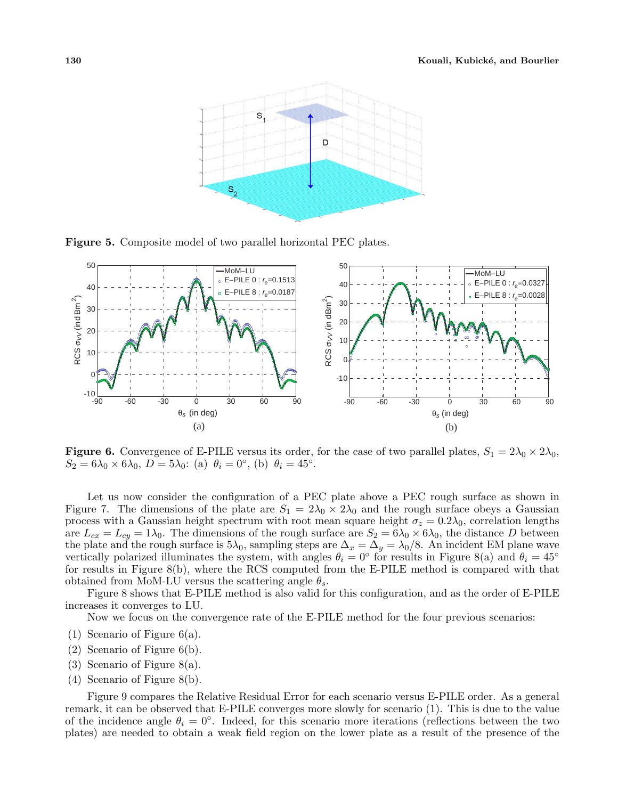

Figure 5. Composite model of two parallel horizontal PEC plates.



**Figure 6.** Convergence of E-PILE versus its order, for the case of two parallel plates,  $S_1 = 2\lambda_0 \times 2\lambda_0$ ,  $S_2 = 6\lambda_0 \times 6\lambda_0, D = 5\lambda_0$ : (a)  $\theta_i = 0^\circ$ , (b)  $\theta_i = 45^\circ$ .

Let us now consider the configuration of a PEC plate above a PEC rough surface as shown in Figure 7. The dimensions of the plate are  $S_1 = 2\lambda_0 \times 2\lambda_0$  and the rough surface obeys a Gaussian process with a Gaussian height spectrum with root mean square height  $\sigma_z = 0.2\lambda_0$ , correlation lengths are  $L_{cx} = L_{cy} = 1\lambda_0$ . The dimensions of the rough surface are  $S_2 = 6\lambda_0 \times 6\lambda_0$ , the distance D between the plate and the rough surface is 5 $\lambda_0$ , sampling steps are  $\Delta_x = \Delta_y = \lambda_0/8$ . An incident EM plane wave vertically polarized illuminates the system, with angles  $\theta_i = 0$ ° for results in Figure 8(a) and  $\theta_i = 45°$ for results in Figure 8(b), where the RCS computed from the E-PILE method is compared with that obtained from MoM-LU versus the scattering angle  $\theta_s$ .

Figure 8 shows that E-PILE method is also valid for this configuration, and as the order of E-PILE increases it converges to LU.

Now we focus on the convergence rate of the E-PILE method for the four previous scenarios:

- (1) Scenario of Figure 6(a).
- (2) Scenario of Figure 6(b).
- $(3)$  Scenario of Figure 8(a).
- (4) Scenario of Figure 8(b).

Figure 9 compares the Relative Residual Error for each scenario versus E-PILE order. As a general remark, it can be observed that E-PILE converges more slowly for scenario (1). This is due to the value of the incidence angle  $\theta_i = 0^\circ$ . Indeed, for this scenario more iterations (reflections between the two plates) are needed to obtain a weak field region on the lower plate as a result of the presence of the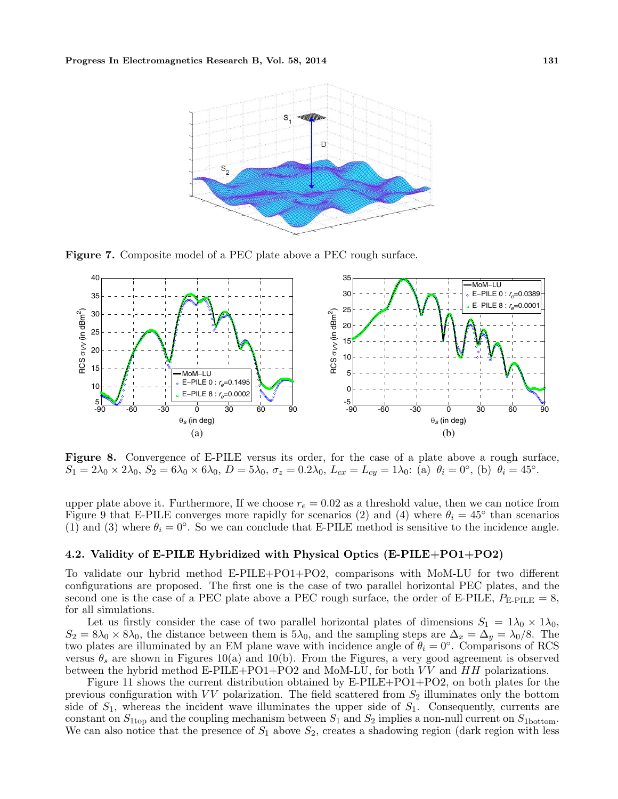

Figure 7. Composite model of a PEC plate above a PEC rough surface.



Figure 8. Convergence of E-PILE versus its order, for the case of a plate above a rough surface,  $S_1 = 2\lambda_0 \times 2\lambda_0, S_2 = 6\lambda_0 \times 6\lambda_0, D = 5\lambda_0, \sigma_z = 0.2\lambda_0, L_{cx} = L_{cy} = 1\lambda_0$ : (a)  $\theta_i = 0^\circ$ , (b)  $\theta_i = 45^\circ$ .

upper plate above it. Furthermore, If we choose  $r_e = 0.02$  as a threshold value, then we can notice from Figure 9 that E-PILE converges more rapidly for scenarios (2) and (4) where  $\theta_i = 45^\circ$  than scenarios (1) and (3) where  $\theta_i = 0^\circ$ . So we can conclude that E-PILE method is sensitive to the incidence angle.

#### 4.2. Validity of E-PILE Hybridized with Physical Optics (E-PILE+PO1+PO2)

To validate our hybrid method E-PILE+PO1+PO2, comparisons with MoM-LU for two different configurations are proposed. The first one is the case of two parallel horizontal PEC plates, and the second one is the case of a PEC plate above a PEC rough surface, the order of E-PILE,  $P_{\text{E-PILE}} = 8$ , for all simulations.

Let us firstly consider the case of two parallel horizontal plates of dimensions  $S_1 = 1\lambda_0 \times 1\lambda_0$ ,  $S_2 = 8\lambda_0 \times 8\lambda_0$ , the distance between them is 5 $\lambda_0$ , and the sampling steps are  $\Delta_x = \Delta_y = \lambda_0/8$ . The two plates are illuminated by an EM plane wave with incidence angle of  $\theta_i = 0^\circ$ . Comparisons of RCS versus  $\theta_s$  are shown in Figures 10(a) and 10(b). From the Figures, a very good agreement is observed between the hybrid method E-PILE+PO1+PO2 and MoM-LU, for both  $VV$  and  $HH$  polarizations.

Figure 11 shows the current distribution obtained by E-PILE+PO1+PO2, on both plates for the previous configuration with  $VV$  polarization. The field scattered from  $S_2$  illuminates only the bottom side of  $S_1$ , whereas the incident wave illuminates the upper side of  $S_1$ . Consequently, currents are constant on  $S_{1\text{top}}$  and the coupling mechanism between  $S_1$  and  $S_2$  implies a non-null current on  $S_{1\text{bottom}}$ . We can also notice that the presence of  $S_1$  above  $S_2$ , creates a shadowing region (dark region with less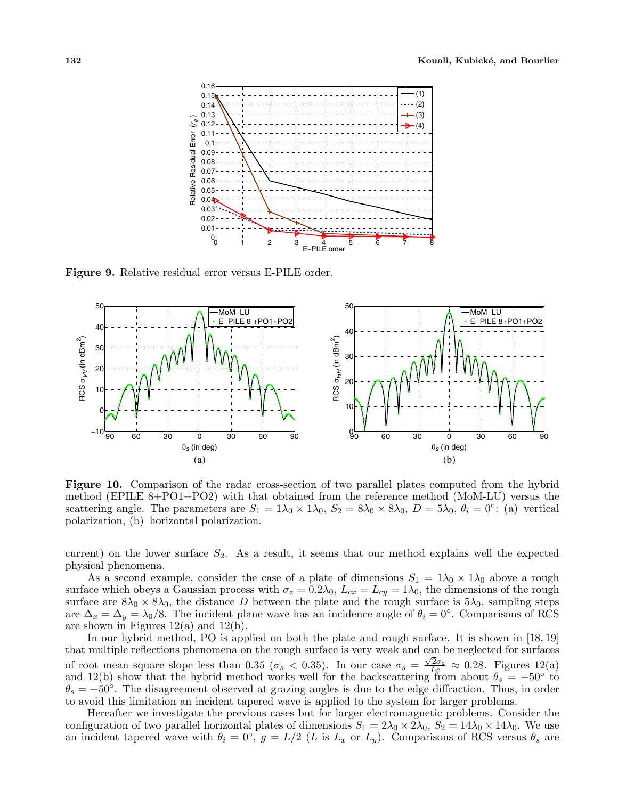

Figure 9. Relative residual error versus E-PILE order.



Figure 10. Comparison of the radar cross-section of two parallel plates computed from the hybrid method (EPILE 8+PO1+PO2) with that obtained from the reference method (MoM-LU) versus the scattering angle. The parameters are  $S_1 = 1\lambda_0 \times 1\lambda_0$ ,  $S_2 = 8\lambda_0 \times 8\lambda_0$ ,  $D = 5\lambda_0$ ,  $\theta_i = 0$ °: (a) vertical polarization, (b) horizontal polarization.

current) on the lower surface  $S_2$ . As a result, it seems that our method explains well the expected physical phenomena.

As a second example, consider the case of a plate of dimensions  $S_1 = 1\lambda_0 \times 1\lambda_0$  above a rough surface which obeys a Gaussian process with  $\sigma_z = 0.2\lambda_0$ ,  $L_{cx} = L_{cy} = 1\lambda_0$ , the dimensions of the rough surface are  $8\lambda_0 \times 8\lambda_0$ , the distance D between the plate and the rough surface is  $5\lambda_0$ , sampling steps are  $\Delta_x = \Delta_y = \lambda_0/8$ . The incident plane wave has an incidence angle of  $\theta_i = 0^\circ$ . Comparisons of RCS are shown in Figures  $12(a)$  and  $12(b)$ .

In our hybrid method, PO is applied on both the plate and rough surface. It is shown in [18, 19] that multiple reflections phenomena on the rough surface is very weak and can be neglected for surfaces of root mean square slope less than 0.35 ( $\sigma_s < 0.35$ ). In our case  $\sigma_s = \frac{\sqrt{2}\sigma_z}{L_c} \approx 0.28$ . Figures 12(a) and 12(b) show that the hybrid method works well for the backscattering from about  $\theta_s = -50^\circ$  to  $\theta_s = +50^\circ$ . The disagreement observed at grazing angles is due to the edge diffraction. Thus, in order to avoid this limitation an incident tapered wave is applied to the system for larger problems.

Hereafter we investigate the previous cases but for larger electromagnetic problems. Consider the configuration of two parallel horizontal plates of dimensions  $S_1 = 2\lambda_0 \times 2\lambda_0$ ,  $S_2 = 14\lambda_0 \times 14\lambda_0$ . We use an incident tapered wave with  $\theta_i = 0^\circ$ ,  $g = L/2$  (L is  $L_x$  or  $L_y$ ). Comparisons of RCS versus  $\theta_s$  are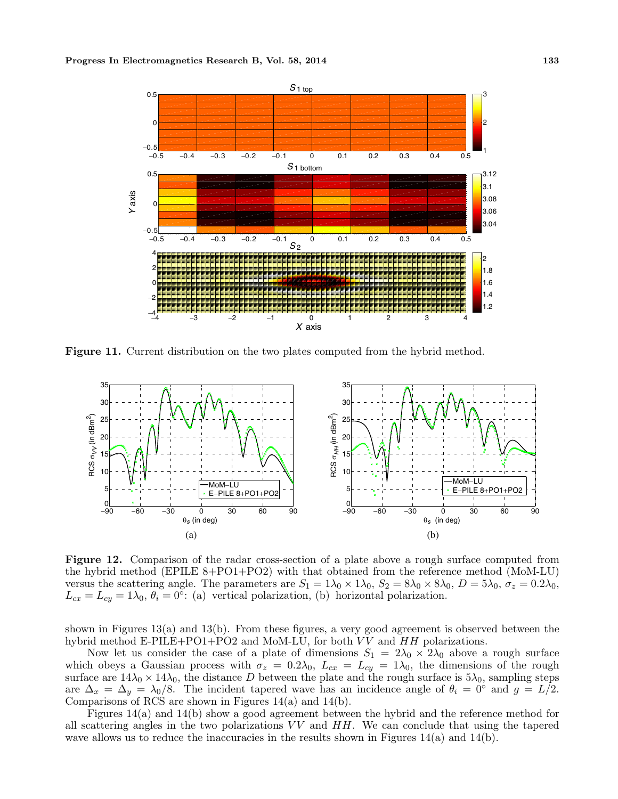

Figure 11. Current distribution on the two plates computed from the hybrid method.



Figure 12. Comparison of the radar cross-section of a plate above a rough surface computed from the hybrid method (EPILE 8+PO1+PO2) with that obtained from the reference method (MoM-LU) versus the scattering angle. The parameters are  $S_1 = 1\lambda_0 \times 1\lambda_0$ ,  $S_2 = 8\lambda_0 \times 8\lambda_0$ ,  $D = 5\lambda_0$ ,  $\sigma_z = 0.2\lambda_0$ ,  $L_{cx} = L_{cy} = 1\lambda_0, \theta_i = 0$ °: (a) vertical polarization, (b) horizontal polarization.

shown in Figures 13(a) and 13(b). From these figures, a very good agreement is observed between the hybrid method E-PILE+PO1+PO2 and MoM-LU, for both  $VV$  and  $HH$  polarizations.

Now let us consider the case of a plate of dimensions  $S_1 = 2\lambda_0 \times 2\lambda_0$  above a rough surface which obeys a Gaussian process with  $\sigma_z = 0.2\lambda_0$ ,  $L_{cx} = L_{cy} = 1\lambda_0$ , the dimensions of the rough surface are  $14\lambda_0 \times 14\lambda_0$ , the distance D between the plate and the rough surface is  $5\lambda_0$ , sampling steps are  $\Delta_x = \Delta_y = \lambda_0/8$ . The incident tapered wave has an incidence angle of  $\theta_i = 0^\circ$  and  $g = L/2$ . Comparisons of RCS are shown in Figures 14(a) and 14(b).

Figures 14(a) and 14(b) show a good agreement between the hybrid and the reference method for all scattering angles in the two polarizations  $VV$  and  $HH$ . We can conclude that using the tapered wave allows us to reduce the inaccuracies in the results shown in Figures  $14(a)$  and  $14(b)$ .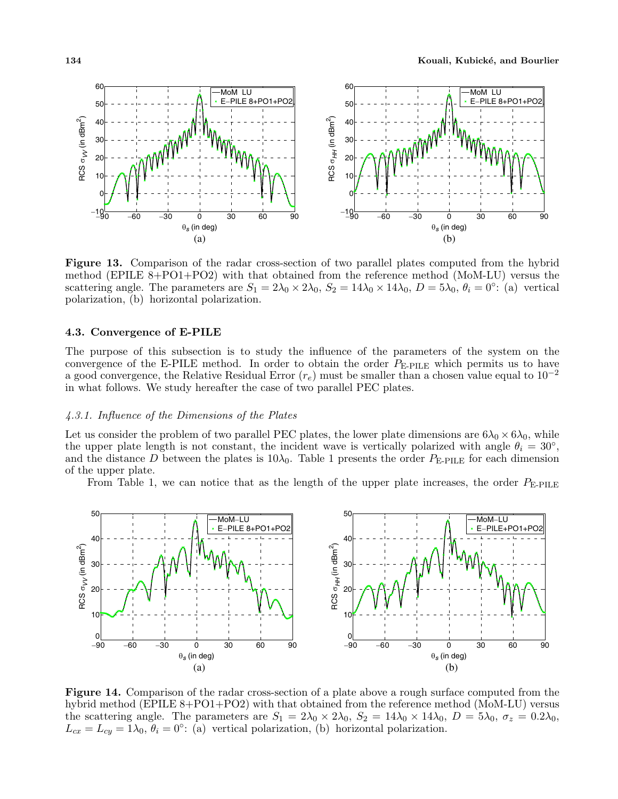

Figure 13. Comparison of the radar cross-section of two parallel plates computed from the hybrid method (EPILE 8+PO1+PO2) with that obtained from the reference method (MoM-LU) versus the scattering angle. The parameters are  $S_1 = 2\lambda_0 \times 2\lambda_0$ ,  $S_2 = 14\lambda_0 \times 14\lambda_0$ ,  $D = 5\lambda_0$ ,  $\theta_i = 0$ °: (a) vertical polarization, (b) horizontal polarization.

# 4.3. Convergence of E-PILE

The purpose of this subsection is to study the influence of the parameters of the system on the convergence of the E-PILE method. In order to obtain the order  $P_{\text{E-PILE}}$  which permits us to have a good convergence, the Relative Residual Error  $(r_e)$  must be smaller than a chosen value equal to  $10^{-2}$ in what follows. We study hereafter the case of two parallel PEC plates.

# 4.3.1. Influence of the Dimensions of the Plates

Let us consider the problem of two parallel PEC plates, the lower plate dimensions are  $6\lambda_0 \times 6\lambda_0$ , while the upper plate length is not constant, the incident wave is vertically polarized with angle  $\theta_i = 30^{\circ}$ , and the distance D between the plates is  $10\lambda_0$ . Table 1 presents the order  $P_{\text{E-PLE}}$  for each dimension of the upper plate.

From Table 1, we can notice that as the length of the upper plate increases, the order  $P_{\text{E-PILE}}$ 



Figure 14. Comparison of the radar cross-section of a plate above a rough surface computed from the hybrid method (EPILE 8+PO1+PO2) with that obtained from the reference method (MoM-LU) versus the scattering angle. The parameters are  $S_1 = 2\lambda_0 \times 2\lambda_0$ ,  $S_2 = 14\lambda_0 \times 14\lambda_0$ ,  $D = 5\lambda_0$ ,  $\sigma_z = 0.2\lambda_0$ ,  $L_{cx} = L_{cy} = 1\lambda_0, \ddot{\theta}_i = 0$ °: (a) vertical polarization, (b) horizontal polarization.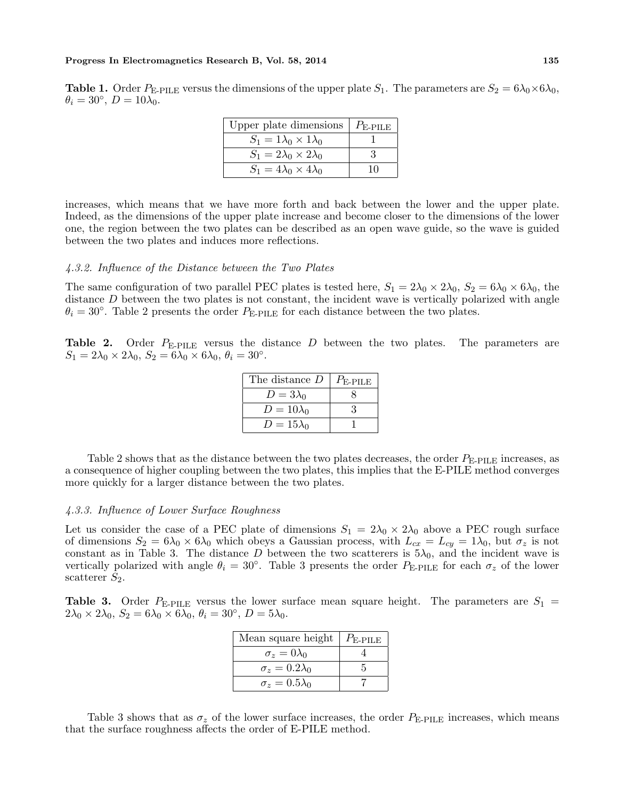#### Progress In Electromagnetics Research B, Vol. 58, 2014 135

**Table 1.** Order  $P_{\text{E-PILE}}$  versus the dimensions of the upper plate  $S_1$ . The parameters are  $S_2 = 6\lambda_0 \times 6\lambda_0$ ,  $\theta_i = 30^\circ, D = 10\lambda_0.$ 

| Upper plate dimensions $ P_{\text{E-PILE}} $ |    |  |  |
|----------------------------------------------|----|--|--|
| $S_1 = 1\lambda_0 \times 1\lambda_0$         |    |  |  |
| $S_1 = 2\lambda_0 \times 2\lambda_0$         |    |  |  |
| $S_1 = 4\lambda_0 \times 4\lambda_0$         | 10 |  |  |

increases, which means that we have more forth and back between the lower and the upper plate. Indeed, as the dimensions of the upper plate increase and become closer to the dimensions of the lower one, the region between the two plates can be described as an open wave guide, so the wave is guided between the two plates and induces more reflections.

#### 4.3.2. Influence of the Distance between the Two Plates

The same configuration of two parallel PEC plates is tested here,  $S_1 = 2\lambda_0 \times 2\lambda_0$ ,  $S_2 = 6\lambda_0 \times 6\lambda_0$ , the distance D between the two plates is not constant, the incident wave is vertically polarized with angle  $\theta_i = 30^\circ$ . Table 2 presents the order  $P_{\text{E-PLE}}$  for each distance between the two plates.

**Table 2.** Order  $P_{\text{E-PILE}}$  versus the distance D between the two plates. The parameters are  $S_1 = 2\lambda_0 \times 2\lambda_0$ ,  $S_2 = 6\lambda_0 \times 6\lambda_0$ ,  $\theta_i = 30^\circ$ .

| The distance D  | $P_{\text{E-PILE}}$ |
|-----------------|---------------------|
| $D=3\lambda_0$  |                     |
| $D=10\lambda_0$ |                     |
| $D=15\lambda_0$ |                     |

Table 2 shows that as the distance between the two plates decreases, the order  $P_{\text{E-PLE}}$  increases, as a consequence of higher coupling between the two plates, this implies that the E-PILE method converges more quickly for a larger distance between the two plates.

#### 4.3.3. Influence of Lower Surface Roughness

Let us consider the case of a PEC plate of dimensions  $S_1 = 2\lambda_0 \times 2\lambda_0$  above a PEC rough surface of dimensions  $S_2 = 6\lambda_0 \times 6\lambda_0$  which obeys a Gaussian process, with  $L_{cx} = L_{cy} = 1\lambda_0$ , but  $\sigma_z$  is not constant as in Table 3. The distance D between the two scatterers is  $5\lambda_0$ , and the incident wave is vertically polarized with angle  $\theta_i = 30^\circ$ . Table 3 presents the order  $P_{\text{E-PLE}}$  for each  $\sigma_z$  of the lower scatterer  $S_2$ .

**Table 3.** Order  $P_{\text{E-PILE}}$  versus the lower surface mean square height. The parameters are  $S_1 =$  $2\lambda_0 \times 2\lambda_0$ ,  $S_2 = 6\lambda_0 \times 6\lambda_0$ ,  $\theta_i = 30^\circ$ ,  $D = 5\lambda_0$ .

| Mean square height        | $P_{\rm E\text{-PILE}}$ |
|---------------------------|-------------------------|
| $\sigma_z = 0\lambda_0$   |                         |
| $\sigma_z = 0.2\lambda_0$ |                         |
| $\sigma_z = 0.5\lambda_0$ |                         |

Table 3 shows that as  $\sigma_z$  of the lower surface increases, the order  $P_{\text{E-PLE}}$  increases, which means that the surface roughness affects the order of E-PILE method.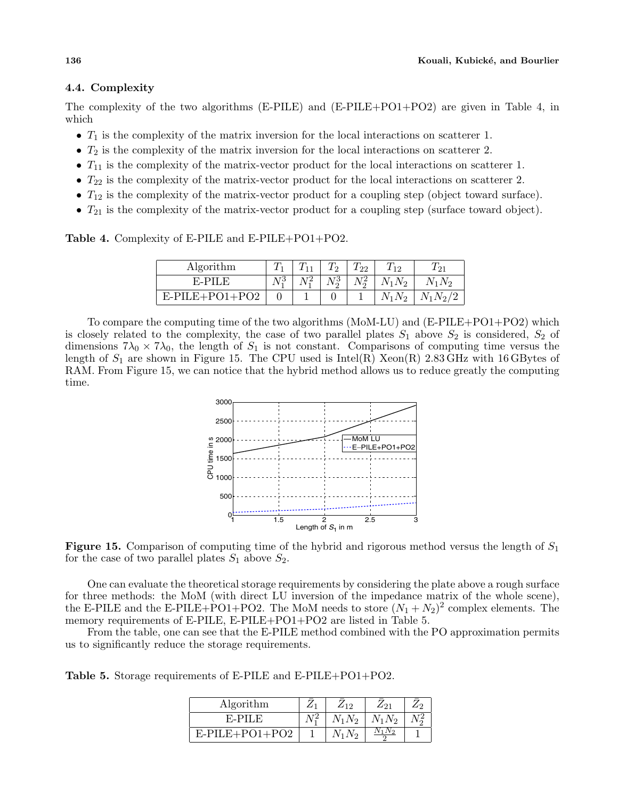# 4.4. Complexity

The complexity of the two algorithms (E-PILE) and (E-PILE+PO1+PO2) are given in Table 4, in which

- $T_1$  is the complexity of the matrix inversion for the local interactions on scatterer 1.
- $T_2$  is the complexity of the matrix inversion for the local interactions on scatterer 2.
- $T_{11}$  is the complexity of the matrix-vector product for the local interactions on scatterer 1.
- $T_{22}$  is the complexity of the matrix-vector product for the local interactions on scatterer 2.
- $T_{12}$  is the complexity of the matrix-vector product for a coupling step (object toward surface).
- $T_{21}$  is the complexity of the matrix-vector product for a coupling step (surface toward object).

Table 4. Complexity of E-PILE and E-PILE+PO1+PO2.

| Algorithm        |                |    | 22          | 112      |          |
|------------------|----------------|----|-------------|----------|----------|
| E-PILE           | $\overline{M}$ | ۷n | $T^2$<br>VΩ | $N_1N_2$ | $N_1N_2$ |
| $E-PILE+PO1+PO2$ |                |    |             | $N_2$    |          |

To compare the computing time of the two algorithms (MoM-LU) and (E-PILE+PO1+PO2) which is closely related to the complexity, the case of two parallel plates  $S_1$  above  $S_2$  is considered,  $S_2$  of dimensions  $7\lambda_0 \times 7\lambda_0$ , the length of  $S_1$  is not constant. Comparisons of computing time versus the length of  $S_1$  are shown in Figure 15. The CPU used is Intel(R) Xeon(R) 2.83 GHz with 16 GBytes of RAM. From Figure 15, we can notice that the hybrid method allows us to reduce greatly the computing time.



**Figure 15.** Comparison of computing time of the hybrid and rigorous method versus the length of  $S_1$ for the case of two parallel plates  $S_1$  above  $S_2$ .

One can evaluate the theoretical storage requirements by considering the plate above a rough surface for three methods: the MoM (with direct LU inversion of the impedance matrix of the whole scene), the E-PILE and the E-PILE+PO1+PO2. The MoM needs to store  $(N_1 + N_2)^2$  complex elements. The memory requirements of E-PILE, E-PILE+PO1+PO2 are listed in Table 5.

From the table, one can see that the E-PILE method combined with the PO approximation permits us to significantly reduce the storage requirements.

| Algorithm               | 19 | 491      |  |
|-------------------------|----|----------|--|
| FEPH JF                 |    | $v_{11}$ |  |
| PILE+PO1+PO2<br>$E - P$ |    |          |  |

Table 5. Storage requirements of E-PILE and E-PILE+PO1+PO2.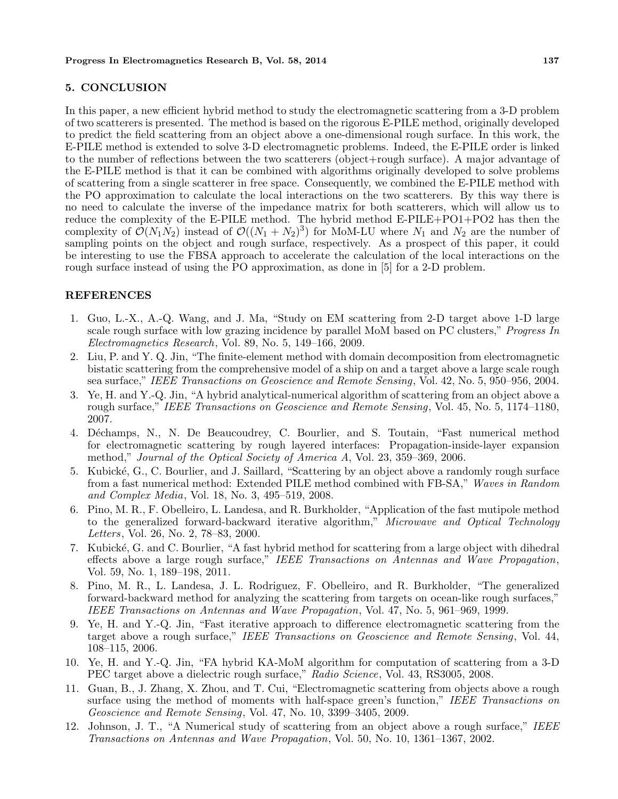# 5. CONCLUSION

In this paper, a new efficient hybrid method to study the electromagnetic scattering from a 3-D problem of two scatterers is presented. The method is based on the rigorous E-PILE method, originally developed to predict the field scattering from an object above a one-dimensional rough surface. In this work, the E-PILE method is extended to solve 3-D electromagnetic problems. Indeed, the E-PILE order is linked to the number of reflections between the two scatterers (object+rough surface). A major advantage of the E-PILE method is that it can be combined with algorithms originally developed to solve problems of scattering from a single scatterer in free space. Consequently, we combined the E-PILE method with the PO approximation to calculate the local interactions on the two scatterers. By this way there is no need to calculate the inverse of the impedance matrix for both scatterers, which will allow us to reduce the complexity of the E-PILE method. The hybrid method E-PILE+PO1+PO2 has then the complexity of  $\mathcal{O}(N_1N_2)$  instead of  $\mathcal{O}((N_1 + N_2)^3)$  for MoM-LU where  $N_1$  and  $N_2$  are the number of sampling points on the object and rough surface, respectively. As a prospect of this paper, it could be interesting to use the FBSA approach to accelerate the calculation of the local interactions on the rough surface instead of using the PO approximation, as done in [5] for a 2-D problem.

#### REFERENCES

- 1. Guo, L.-X., A.-Q. Wang, and J. Ma, "Study on EM scattering from 2-D target above 1-D large scale rough surface with low grazing incidence by parallel MoM based on PC clusters," *Progress In* Electromagnetics Research, Vol. 89, No. 5, 149–166, 2009.
- 2. Liu, P. and Y. Q. Jin, "The finite-element method with domain decomposition from electromagnetic bistatic scattering from the comprehensive model of a ship on and a target above a large scale rough sea surface," IEEE Transactions on Geoscience and Remote Sensing, Vol. 42, No. 5, 950–956, 2004.
- 3. Ye, H. and Y.-Q. Jin, "A hybrid analytical-numerical algorithm of scattering from an object above a rough surface," IEEE Transactions on Geoscience and Remote Sensing, Vol. 45, No. 5, 1174–1180, 2007.
- 4. D´echamps, N., N. De Beaucoudrey, C. Bourlier, and S. Toutain, "Fast numerical method for electromagnetic scattering by rough layered interfaces: Propagation-inside-layer expansion method," Journal of the Optical Society of America A, Vol. 23, 359–369, 2006.
- 5. Kubick´e, G., C. Bourlier, and J. Saillard, "Scattering by an object above a randomly rough surface from a fast numerical method: Extended PILE method combined with FB-SA," Waves in Random and Complex Media, Vol. 18, No. 3, 495–519, 2008.
- 6. Pino, M. R., F. Obelleiro, L. Landesa, and R. Burkholder, "Application of the fast mutipole method to the generalized forward-backward iterative algorithm," Microwave and Optical Technology Letters, Vol. 26, No. 2, 78–83, 2000.
- 7. Kubick´e, G. and C. Bourlier, "A fast hybrid method for scattering from a large object with dihedral effects above a large rough surface," IEEE Transactions on Antennas and Wave Propagation, Vol. 59, No. 1, 189–198, 2011.
- 8. Pino, M. R., L. Landesa, J. L. Rodriguez, F. Obelleiro, and R. Burkholder, "The generalized forward-backward method for analyzing the scattering from targets on ocean-like rough surfaces," IEEE Transactions on Antennas and Wave Propagation, Vol. 47, No. 5, 961–969, 1999.
- 9. Ye, H. and Y.-Q. Jin, "Fast iterative approach to difference electromagnetic scattering from the target above a rough surface," IEEE Transactions on Geoscience and Remote Sensing, Vol. 44, 108–115, 2006.
- 10. Ye, H. and Y.-Q. Jin, "FA hybrid KA-MoM algorithm for computation of scattering from a 3-D PEC target above a dielectric rough surface," Radio Science, Vol. 43, RS3005, 2008.
- 11. Guan, B., J. Zhang, X. Zhou, and T. Cui, "Electromagnetic scattering from objects above a rough surface using the method of moments with half-space green's function," IEEE Transactions on Geoscience and Remote Sensing, Vol. 47, No. 10, 3399–3405, 2009.
- 12. Johnson, J. T., "A Numerical study of scattering from an object above a rough surface," IEEE Transactions on Antennas and Wave Propagation, Vol. 50, No. 10, 1361–1367, 2002.